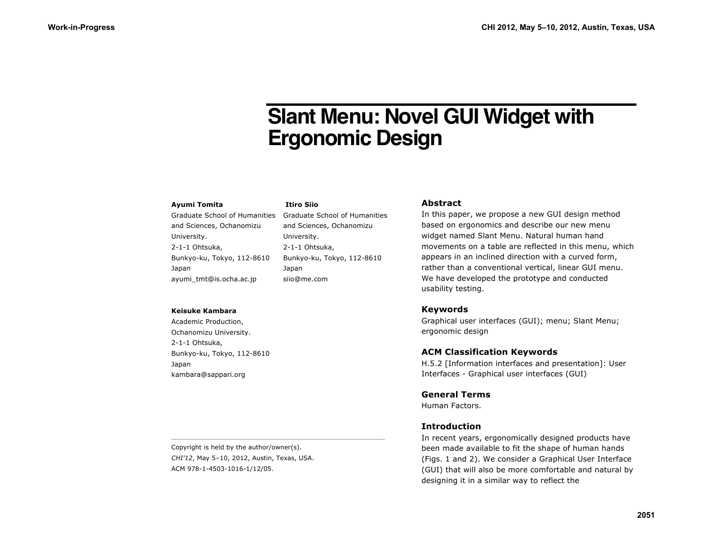# **Slant Menu: Novel GUI Widget with Ergonomic Design**

#### **Ayumi Tomita**

Graduate School of Humanities and Sciences, Ochanomizu University. 2-1-1 Ohtsuka, Bunkyo-ku, Tokyo, 112-8610 Japan ayumi\_tmt@is.ocha.ac.jp

**Itiro Siio**

Graduate School of Humanities and Sciences, Ochanomizu University. 2-1-1 Ohtsuka, Bunkyo-ku, Tokyo, 112-8610 Japan siio@me.com

#### **Keisuke Kambara**

Academic Production, Ochanomizu University. 2-1-1 Ohtsuka, Bunkyo-ku, Tokyo, 112-8610 Japan kambara@sappari.org

**Abstract**

In this paper, we propose a new GUI design method based on ergonomics and describe our new menu widget named Slant Menu. Natural human hand movements on a table are reflected in this menu, which appears in an inclined direction with a curved form, rather than a conventional vertical, linear GUI menu. We have developed the prototype and conducted usability testing.

# **Keywords**

Graphical user interfaces (GUI); menu; Slant Menu; ergonomic design

# **ACM Classification Keywords**

H.5.2 [Information interfaces and presentation]: User Interfaces - Graphical user interfaces (GUI)

# **General Terms**

Human Factors.

# **Introduction**

In recent years, ergonomically designed products have been made available to fit the shape of human hands (Figs. 1 and 2). We consider a Graphical User Interface (GUI) that will also be more comfortable and natural by designing it in a similar way to reflect the

Copyright is held by the author/owner(s). *CHI'12*, May 5–10, 2012, Austin, Texas, USA. ACM 978-1-4503-1016-1/12/05.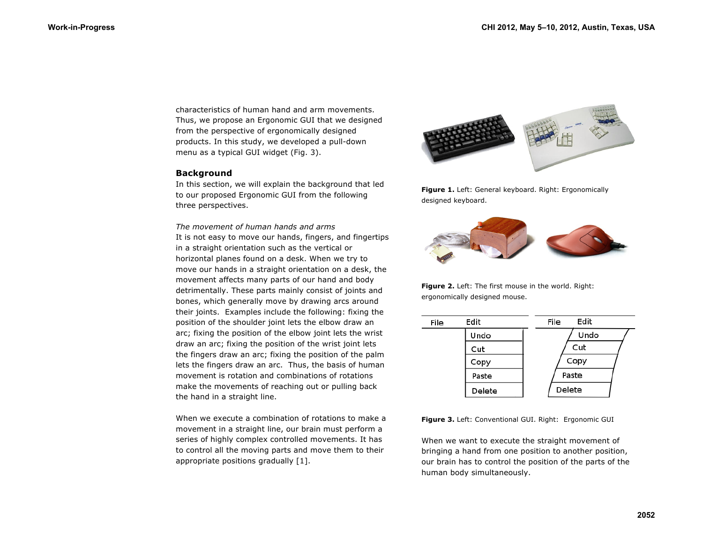characteristics of human hand and arm movements. Thus, we propose an Ergonomic GUI that we designed from the perspective of ergonomically designed products. In this study, we developed a pull-down menu as a typical GUI widget (Fig. 3).

#### **Background**

In this section, we will explain the background that led to our proposed Ergonomic GUI from the following three perspectives.

*The movement of human hands and arms*  It is not easy to move our hands, fingers, and fingertips in a straight orientation such as the vertical or horizontal planes found on a desk. When we try to move our hands in a straight orientation on a desk, the movement affects many parts of our hand and body detrimentally. These parts mainly consist of joints and bones, which generally move by drawing arcs around their joints. Examples include the following: fixing the position of the shoulder joint lets the elbow draw an arc; fixing the position of the elbow joint lets the wrist draw an arc; fixing the position of the wrist joint lets the fingers draw an arc; fixing the position of the palm lets the fingers draw an arc. Thus, the basis of human movement is rotation and combinations of rotations make the movements of reaching out or pulling back the hand in a straight line.

When we execute a combination of rotations to make a movement in a straight line, our brain must perform a series of highly complex controlled movements. It has to control all the moving parts and move them to their appropriate positions gradually [1].



**Figure 1.** Left: General keyboard. Right: Ergonomically designed keyboard.



**Figure 2.** Left: The first mouse in the world. Right: ergonomically designed mouse.

| File | Edit   | Edit<br>File |
|------|--------|--------------|
|      | Undo   | Undo         |
|      | Cut    | Cut          |
|      | Copy   | Copy         |
|      | Paste  | Paste        |
|      | Delete | Delete       |

**Figure 3.** Left: Conventional GUI. Right: Ergonomic GUI

When we want to execute the straight movement of bringing a hand from one position to another position, our brain has to control the position of the parts of the human body simultaneously.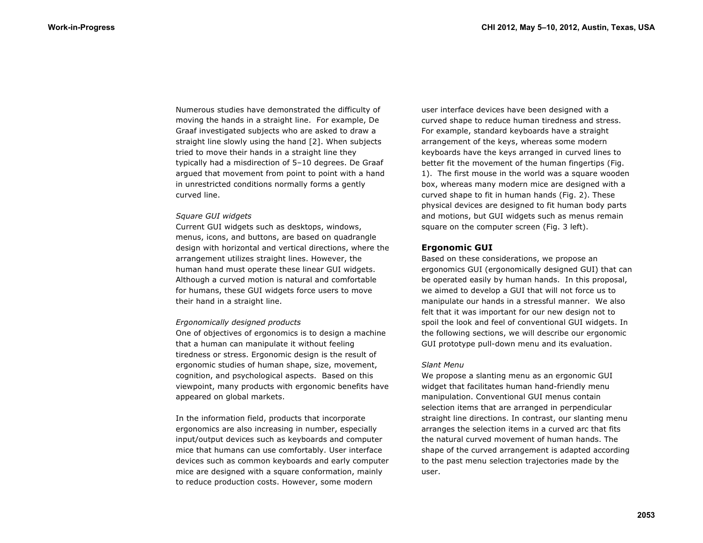Numerous studies have demonstrated the difficulty of moving the hands in a straight line. For example, De Graaf investigated subjects who are asked to draw a straight line slowly using the hand [2]. When subjects tried to move their hands in a straight line they typically had a misdirection of 5–10 degrees. De Graaf argued that movement from point to point with a hand in unrestricted conditions normally forms a gently curved line.

#### *Square GUI widgets*

Current GUI widgets such as desktops, windows, menus, icons, and buttons, are based on quadrangle design with horizontal and vertical directions, where the arrangement utilizes straight lines. However, the human hand must operate these linear GUI widgets. Although a curved motion is natural and comfortable for humans, these GUI widgets force users to move their hand in a straight line.

#### *Ergonomically designed products*

One of objectives of ergonomics is to design a machine that a human can manipulate it without feeling tiredness or stress. Ergonomic design is the result of ergonomic studies of human shape, size, movement, cognition, and psychological aspects. Based on this viewpoint, many products with ergonomic benefits have appeared on global markets.

In the information field, products that incorporate ergonomics are also increasing in number, especially input/output devices such as keyboards and computer mice that humans can use comfortably. User interface devices such as common keyboards and early computer mice are designed with a square conformation, mainly to reduce production costs. However, some modern

user interface devices have been designed with a curved shape to reduce human tiredness and stress. For example, standard keyboards have a straight arrangement of the keys, whereas some modern keyboards have the keys arranged in curved lines to better fit the movement of the human fingertips (Fig. 1). The first mouse in the world was a square wooden box, whereas many modern mice are designed with a curved shape to fit in human hands (Fig. 2). These physical devices are designed to fit human body parts and motions, but GUI widgets such as menus remain square on the computer screen (Fig. 3 left).

### **Ergonomic GUI**

Based on these considerations, we propose an ergonomics GUI (ergonomically designed GUI) that can be operated easily by human hands. In this proposal, we aimed to develop a GUI that will not force us to manipulate our hands in a stressful manner. We also felt that it was important for our new design not to spoil the look and feel of conventional GUI widgets. In the following sections, we will describe our ergonomic GUI prototype pull-down menu and its evaluation.

#### *Slant Menu*

We propose a slanting menu as an ergonomic GUI widget that facilitates human hand-friendly menu manipulation. Conventional GUI menus contain selection items that are arranged in perpendicular straight line directions. In contrast, our slanting menu arranges the selection items in a curved arc that fits the natural curved movement of human hands. The shape of the curved arrangement is adapted according to the past menu selection trajectories made by the user.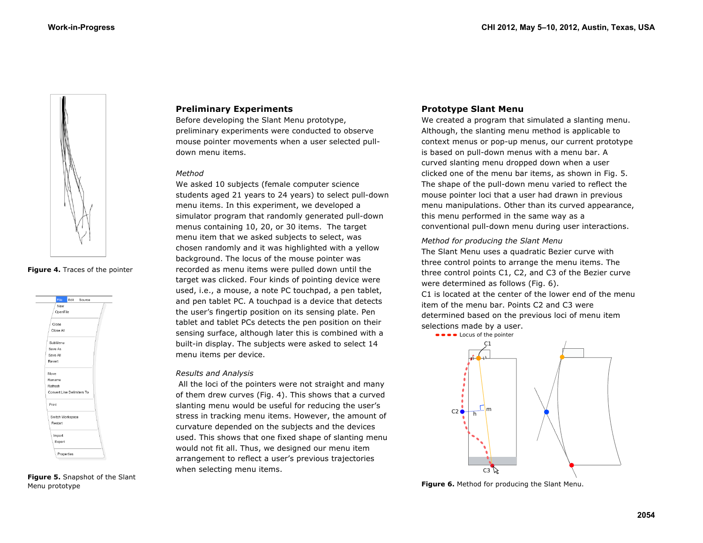

#### **Figure 4.** Traces of the pointer



**Figure 5.** Snapshot of the Slant Menu prototype

## **Preliminary Experiments**

Before developing the Slant Menu prototype, preliminary experiments were conducted to observe mouse pointer movements when a user selected pulldown menu items.

#### *Method*

We asked 10 subjects (female computer science students aged 21 years to 24 years) to select pull-down menu items. In this experiment, we developed a simulator program that randomly generated pull-down menus containing 10, 20, or 30 items. The target menu item that we asked subjects to select, was chosen randomly and it was highlighted with a yellow background. The locus of the mouse pointer was recorded as menu items were pulled down until the target was clicked. Four kinds of pointing device were used, i.e., a mouse, a note PC touchpad, a pen tablet, and pen tablet PC. A touchpad is a device that detects the user's fingertip position on its sensing plate. Pen tablet and tablet PCs detects the pen position on their sensing surface, although later this is combined with a built-in display. The subjects were asked to select 14 menu items per device.

#### *Results and Analysis*

 All the loci of the pointers were not straight and many of them drew curves (Fig. 4). This shows that a curved slanting menu would be useful for reducing the user's stress in tracking menu items. However, the amount of curvature depended on the subjects and the devices used. This shows that one fixed shape of slanting menu would not fit all. Thus, we designed our menu item arrangement to reflect a user's previous trajectories when selecting menu items.

#### **Prototype Slant Menu**

We created a program that simulated a slanting menu. Although, the slanting menu method is applicable to context menus or pop-up menus, our current prototype is based on pull-down menus with a menu bar. A curved slanting menu dropped down when a user clicked one of the menu bar items, as shown in Fig. 5. The shape of the pull-down menu varied to reflect the mouse pointer loci that a user had drawn in previous menu manipulations. Other than its curved appearance, this menu performed in the same way as a conventional pull-down menu during user interactions.

#### *Method for producing the Slant Menu*

The Slant Menu uses a quadratic Bezier curve with three control points to arrange the menu items. The three control points C1, C2, and C3 of the Bezier curve were determined as follows (Fig. 6).

C1 is located at the center of the lower end of the menu item of the menu bar. Points C2 and C3 were determined based on the previous loci of menu item selections made by a user.

Locus of the pointer



**Figure 6.** Method for producing the Slant Menu.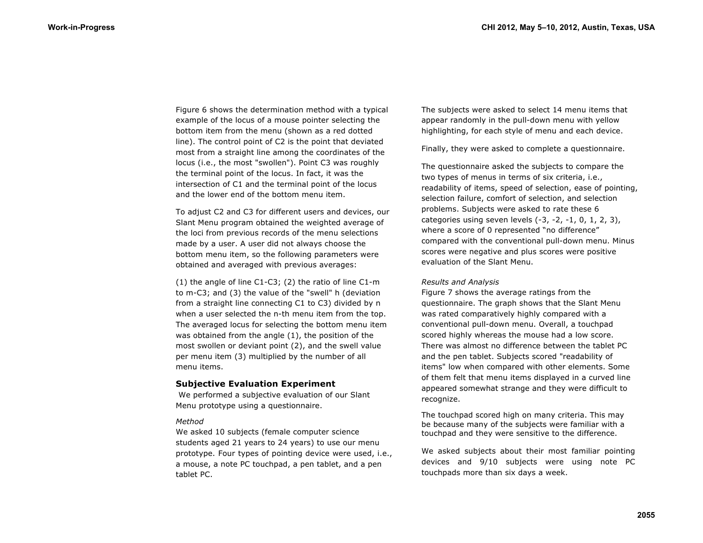Figure 6 shows the determination method with a typical example of the locus of a mouse pointer selecting the bottom item from the menu (shown as a red dotted line). The control point of C2 is the point that deviated most from a straight line among the coordinates of the locus (i.e., the most "swollen"). Point C3 was roughly the terminal point of the locus. In fact, it was the intersection of C1 and the terminal point of the locus and the lower end of the bottom menu item.

To adjust C2 and C3 for different users and devices, our Slant Menu program obtained the weighted average of the loci from previous records of the menu selections made by a user. A user did not always choose the bottom menu item, so the following parameters were obtained and averaged with previous averages:

(1) the angle of line C1-C3; (2) the ratio of line C1-m to m-C3; and (3) the value of the "swell" h (deviation from a straight line connecting C1 to C3) divided by n when a user selected the n-th menu item from the top. The averaged locus for selecting the bottom menu item was obtained from the angle (1), the position of the most swollen or deviant point (2), and the swell value per menu item (3) multiplied by the number of all menu items.

## **Subjective Evaluation Experiment**

 We performed a subjective evaluation of our Slant Menu prototype using a questionnaire.

## *Method*

We asked 10 subjects (female computer science students aged 21 years to 24 years) to use our menu prototype. Four types of pointing device were used, i.e., a mouse, a note PC touchpad, a pen tablet, and a pen tablet PC.

The subjects were asked to select 14 menu items that appear randomly in the pull-down menu with yellow highlighting, for each style of menu and each device.

Finally, they were asked to complete a questionnaire.

The questionnaire asked the subjects to compare the two types of menus in terms of six criteria, i.e., readability of items, speed of selection, ease of pointing, selection failure, comfort of selection, and selection problems. Subjects were asked to rate these 6 categories using seven levels  $(-3, -2, -1, 0, 1, 2, 3)$ , where a score of 0 represented "no difference" compared with the conventional pull-down menu. Minus scores were negative and plus scores were positive evaluation of the Slant Menu.

## *Results and Analysis*

Figure 7 shows the average ratings from the questionnaire. The graph shows that the Slant Menu was rated comparatively highly compared with a conventional pull-down menu. Overall, a touchpad scored highly whereas the mouse had a low score. There was almost no difference between the tablet PC and the pen tablet. Subjects scored "readability of items" low when compared with other elements. Some of them felt that menu items displayed in a curved line appeared somewhat strange and they were difficult to recognize.

The touchpad scored high on many criteria. This may be because many of the subjects were familiar with a touchpad and they were sensitive to the difference.

We asked subjects about their most familiar pointing devices and 9/10 subjects were using note PC touchpads more than six days a week.